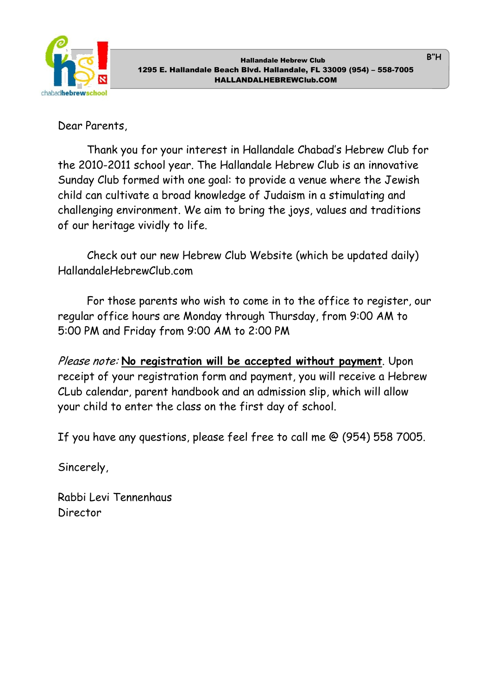

B"H

Dear Parents,

 Thank you for your interest in Hallandale Chabad's Hebrew Club for the 2010-2011 school year. The Hallandale Hebrew Club is an innovative Sunday Club formed with one goal: to provide a venue where the Jewish child can cultivate a broad knowledge of Judaism in a stimulating and challenging environment. We aim to bring the joys, values and traditions of our heritage vividly to life.

 Check out our new Hebrew Club Website (which be updated daily) HallandaleHebrewClub.com

For those parents who wish to come in to the office to register, our regular office hours are Monday through Thursday, from 9:00 AM to 5:00 PM and Friday from 9:00 AM to 2:00 PM

Please note: No registration will be accepted without payment. Upon receipt of your registration form and payment, you will receive a Hebrew CLub calendar, parent handbook and an admission slip, which will allow your child to enter the class on the first day of school.

If you have any questions, please feel free to call me @ (954) 558 7005.

Sincerely,

Rabbi Levi Tennenhaus Director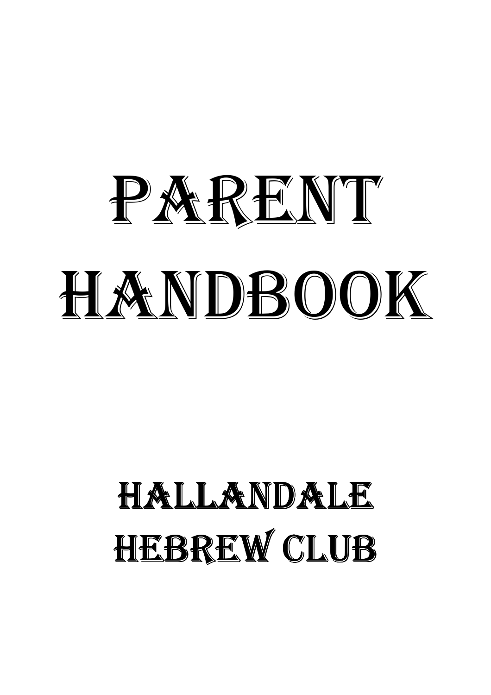# PARENT HANDBOOK

# HALLANDALE HEBREW CLUB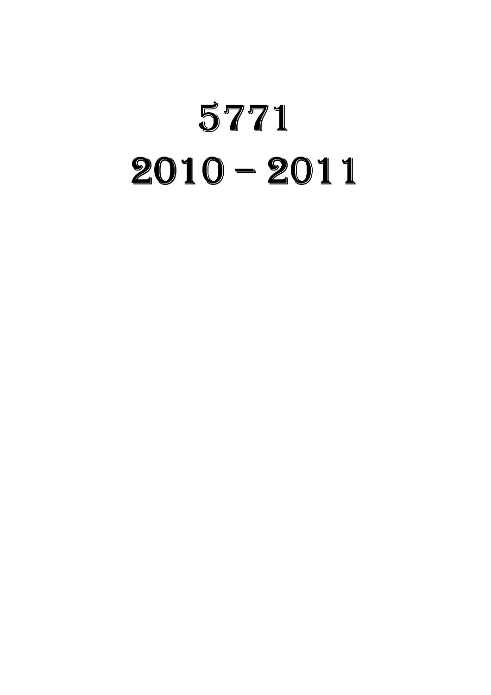# 5771  $2010 - 2011$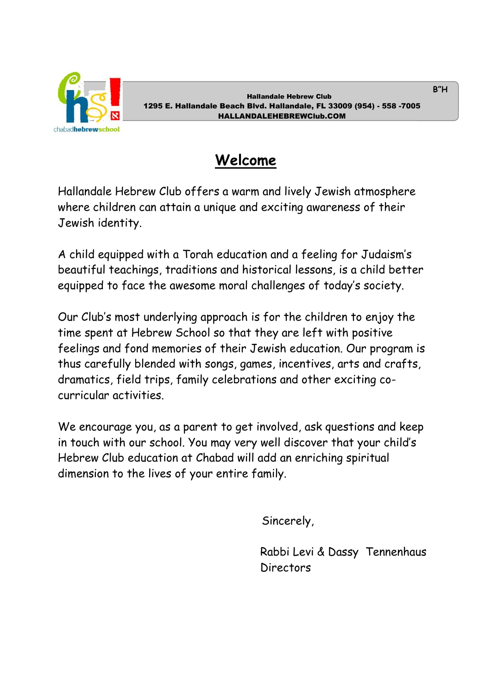

# Welcome

Hallandale Hebrew Club offers a warm and lively Jewish atmosphere where children can attain a unique and exciting awareness of their Jewish identity.

A child equipped with a Torah education and a feeling for Judaism's beautiful teachings, traditions and historical lessons, is a child better equipped to face the awesome moral challenges of today's society.

Our Club's most underlying approach is for the children to enjoy the time spent at Hebrew School so that they are left with positive feelings and fond memories of their Jewish education. Our program is thus carefully blended with songs, games, incentives, arts and crafts, dramatics, field trips, family celebrations and other exciting cocurricular activities.

We encourage you, as a parent to get involved, ask questions and keep in touch with our school. You may very well discover that your child's Hebrew Club education at Chabad will add an enriching spiritual dimension to the lives of your entire family.

Sincerely,

 Rabbi Levi & Dassy Tennenhaus Directors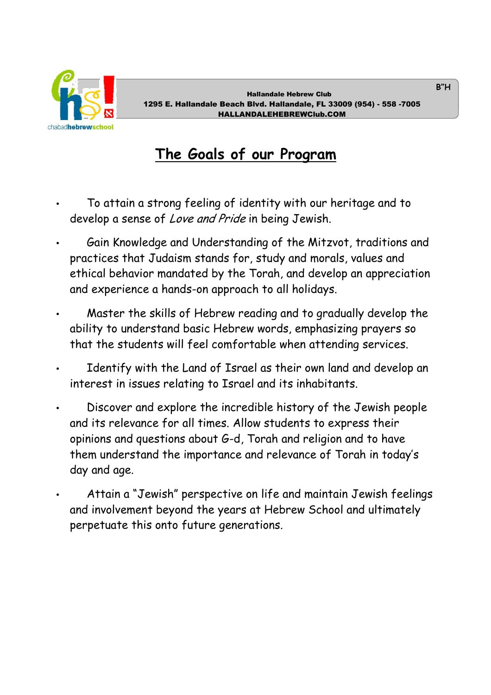

B"H

# The Goals of our Program

- To attain a strong feeling of identity with our heritage and to develop a sense of Love and Pride in being Jewish.
- Gain Knowledge and Understanding of the Mitzvot, traditions and practices that Judaism stands for, study and morals, values and ethical behavior mandated by the Torah, and develop an appreciation and experience a hands-on approach to all holidays.
- Master the skills of Hebrew reading and to gradually develop the ability to understand basic Hebrew words, emphasizing prayers so that the students will feel comfortable when attending services.
- Identify with the Land of Israel as their own land and develop an interest in issues relating to Israel and its inhabitants.
- Discover and explore the incredible history of the Jewish people and its relevance for all times. Allow students to express their opinions and questions about G-d, Torah and religion and to have them understand the importance and relevance of Torah in today's day and age.
- Attain a "Jewish" perspective on life and maintain Jewish feelings and involvement beyond the years at Hebrew School and ultimately perpetuate this onto future generations.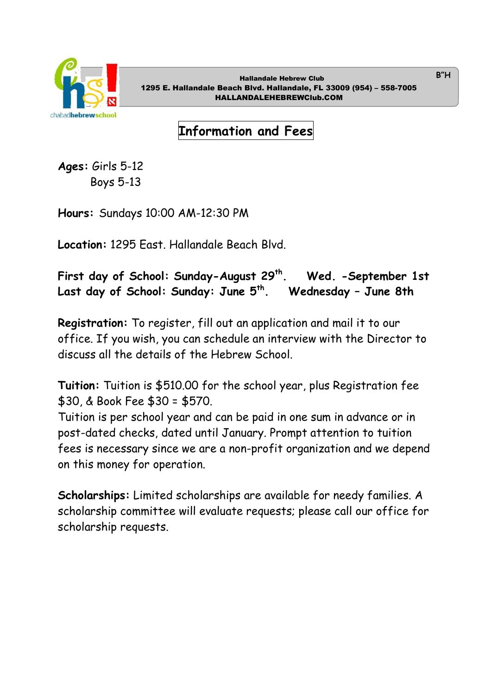

B"H

Information and Fees

Ages: Girls 5-12 Boys 5-13

Hours: Sundays 10:00 AM-12:30 PM

Location: 1295 East. Hallandale Beach Blvd.

First day of School: Sunday-August 29<sup>th</sup>. Wed. -September 1st Last day of School: Sunday: June  $5<sup>th</sup>$ . Wednesday - June 8th

Registration: To register, fill out an application and mail it to our office. If you wish, you can schedule an interview with the Director to discuss all the details of the Hebrew School.

Tuition: Tuition is \$510.00 for the school year, plus Registration fee \$30, & Book Fee \$30 = \$570.

Tuition is per school year and can be paid in one sum in advance or in post-dated checks, dated until January. Prompt attention to tuition fees is necessary since we are a non-profit organization and we depend on this money for operation.

Scholarships: Limited scholarships are available for needy families. A scholarship committee will evaluate requests; please call our office for scholarship requests.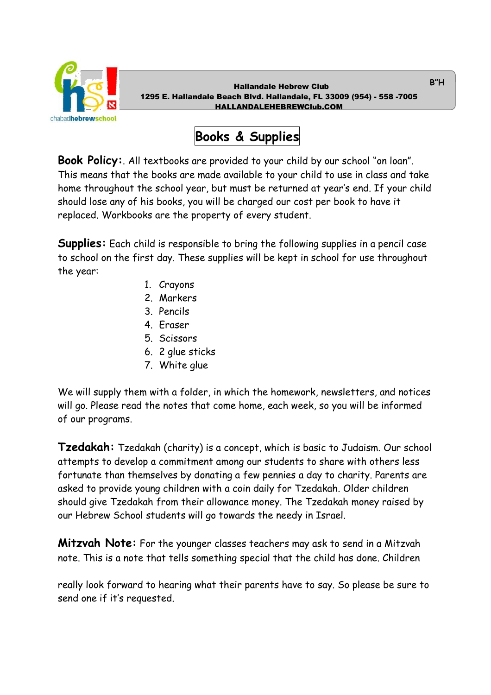

# Books & Supplies

Book Policy:. All textbooks are provided to your child by our school "on loan". This means that the books are made available to your child to use in class and take home throughout the school year, but must be returned at year's end. If your child should lose any of his books, you will be charged our cost per book to have it replaced. Workbooks are the property of every student.

Supplies: Each child is responsible to bring the following supplies in a pencil case to school on the first day. These supplies will be kept in school for use throughout the year:

- 1. Crayons
- 2. Markers
- 3. Pencils
- 4. Eraser
- 5. Scissors
- 6. 2 glue sticks
- 7. White glue

We will supply them with a folder, in which the homework, newsletters, and notices will go. Please read the notes that come home, each week, so you will be informed of our programs.

Tzedakah: Tzedakah (charity) is a concept, which is basic to Judaism. Our school attempts to develop a commitment among our students to share with others less fortunate than themselves by donating a few pennies a day to charity. Parents are asked to provide young children with a coin daily for Tzedakah. Older children should give Tzedakah from their allowance money. The Tzedakah money raised by our Hebrew School students will go towards the needy in Israel.

**Mitzvah Note:** For the younger classes teachers may ask to send in a Mitzvah note. This is a note that tells something special that the child has done. Children

really look forward to hearing what their parents have to say. So please be sure to send one if it's requested.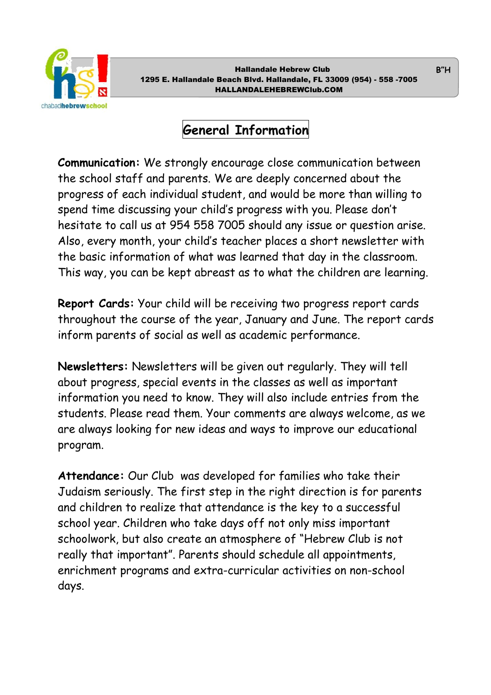

# General Information

Communication: We strongly encourage close communication between the school staff and parents. We are deeply concerned about the progress of each individual student, and would be more than willing to spend time discussing your child's progress with you. Please don't hesitate to call us at 954 558 7005 should any issue or question arise. Also, every month, your child's teacher places a short newsletter with the basic information of what was learned that day in the classroom. This way, you can be kept abreast as to what the children are learning.

Report Cards: Your child will be receiving two progress report cards throughout the course of the year, January and June. The report cards inform parents of social as well as academic performance.

Newsletters: Newsletters will be given out regularly. They will tell about progress, special events in the classes as well as important information you need to know. They will also include entries from the students. Please read them. Your comments are always welcome, as we are always looking for new ideas and ways to improve our educational program.

Attendance: Our Club was developed for families who take their Judaism seriously. The first step in the right direction is for parents and children to realize that attendance is the key to a successful school year. Children who take days off not only miss important schoolwork, but also create an atmosphere of "Hebrew Club is not really that important". Parents should schedule all appointments, enrichment programs and extra-curricular activities on non-school days.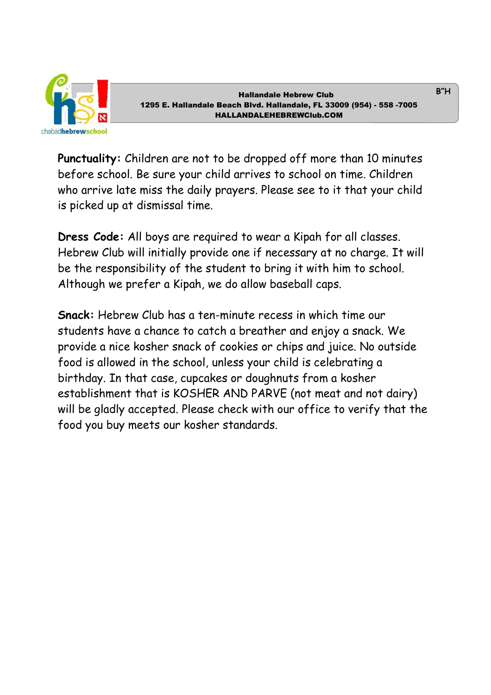

Punctuality: Children are not to be dropped off more than 10 minutes before school. Be sure your child arrives to school on time. Children who arrive late miss the daily prayers. Please see to it that your child is picked up at dismissal time.

Dress Code: All boys are required to wear a Kipah for all classes. Hebrew Club will initially provide one if necessary at no charge. It will be the responsibility of the student to bring it with him to school. Although we prefer a Kipah, we do allow baseball caps.

Snack: Hebrew Club has a ten-minute recess in which time our students have a chance to catch a breather and enjoy a snack. We provide a nice kosher snack of cookies or chips and juice. No outside food is allowed in the school, unless your child is celebrating a birthday. In that case, cupcakes or doughnuts from a kosher establishment that is KOSHER AND PARVE (not meat and not dairy) will be gladly accepted. Please check with our office to verify that the food you buy meets our kosher standards.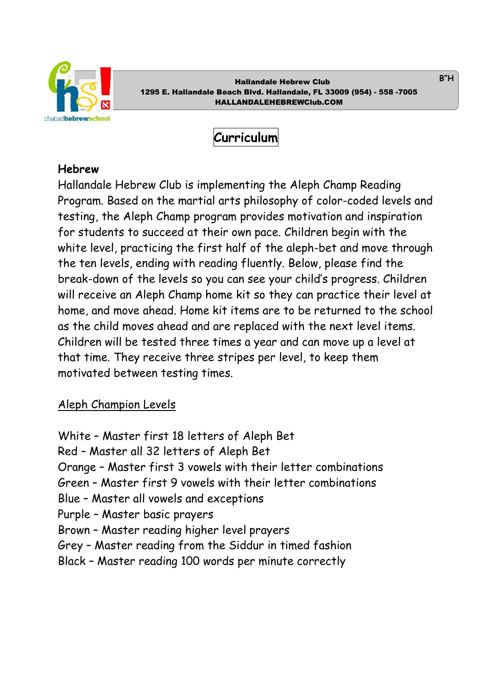

Curriculum

#### Hebrew

Hallandale Hebrew Club is implementing the Aleph Champ Reading Program. Based on the martial arts philosophy of color-coded levels and testing, the Aleph Champ program provides motivation and inspiration for students to succeed at their own pace. Children begin with the white level, practicing the first half of the aleph-bet and move through the ten levels, ending with reading fluently. Below, please find the break-down of the levels so you can see your child's progress. Children will receive an Aleph Champ home kit so they can practice their level at home, and move ahead. Home kit items are to be returned to the school as the child moves ahead and are replaced with the next level items. Children will be tested three times a year and can move up a level at that time. They receive three stripes per level, to keep them motivated between testing times.

### Aleph Champion Levels

White – Master first 18 letters of Aleph Bet Red – Master all 32 letters of Aleph Bet Orange – Master first 3 vowels with their letter combinations Green – Master first 9 vowels with their letter combinations Blue – Master all vowels and exceptions Purple – Master basic prayers Brown – Master reading higher level prayers Grey – Master reading from the Siddur in timed fashion Black – Master reading 100 words per minute correctly

B"H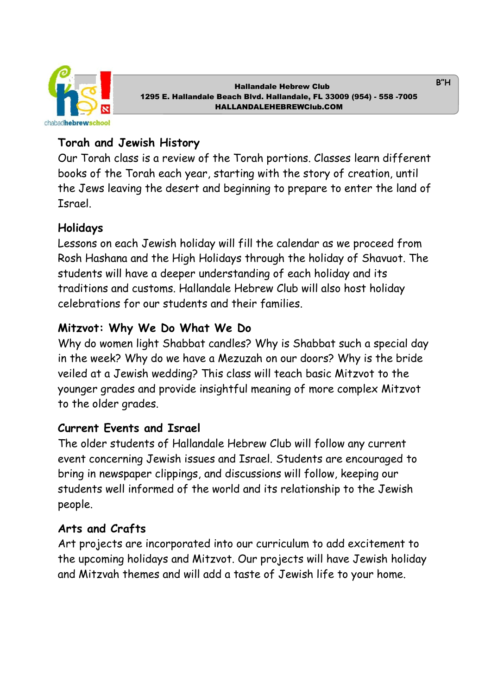

# Torah and Jewish History

Our Torah class is a review of the Torah portions. Classes learn different books of the Torah each year, starting with the story of creation, until the Jews leaving the desert and beginning to prepare to enter the land of Israel.

# Holidays

Lessons on each Jewish holiday will fill the calendar as we proceed from Rosh Hashana and the High Holidays through the holiday of Shavuot. The students will have a deeper understanding of each holiday and its traditions and customs. Hallandale Hebrew Club will also host holiday celebrations for our students and their families.

# Mitzvot: Why We Do What We Do

Why do women light Shabbat candles? Why is Shabbat such a special day in the week? Why do we have a Mezuzah on our doors? Why is the bride veiled at a Jewish wedding? This class will teach basic Mitzvot to the younger grades and provide insightful meaning of more complex Mitzvot to the older grades.

# Current Events and Israel

The older students of Hallandale Hebrew Club will follow any current event concerning Jewish issues and Israel. Students are encouraged to bring in newspaper clippings, and discussions will follow, keeping our students well informed of the world and its relationship to the Jewish people.

# Arts and Crafts

Art projects are incorporated into our curriculum to add excitement to the upcoming holidays and Mitzvot. Our projects will have Jewish holiday and Mitzvah themes and will add a taste of Jewish life to your home.